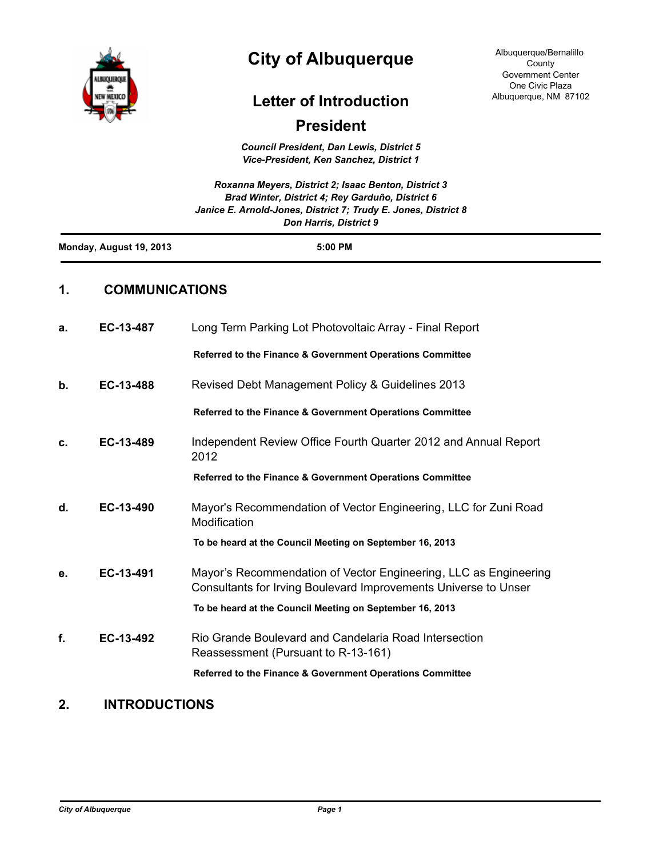

# **City of Albuquerque**

Albuquerque/Bernalillo County Government Center One Civic Plaza Albuquerque, NM 87102

## **Letter of Introduction**

### **President**

*Council President, Dan Lewis, District 5 Vice-President, Ken Sanchez, District 1*

| 1.<br><b>COMMUNICATIONS</b>   |                                                                |  |  |
|-------------------------------|----------------------------------------------------------------|--|--|
| Monday, August 19, 2013       | 5:00 PM                                                        |  |  |
| <b>Don Harris, District 9</b> |                                                                |  |  |
|                               | Janice E. Arnold-Jones, District 7; Trudy E. Jones, District 8 |  |  |
|                               | Brad Winter, District 4; Rey Garduño, District 6               |  |  |
|                               | Roxanna Meyers, District 2; Isaac Benton, District 3           |  |  |

| a. | EC-13-487 | Long Term Parking Lot Photovoltaic Array - Final Report                                                                             |
|----|-----------|-------------------------------------------------------------------------------------------------------------------------------------|
|    |           | Referred to the Finance & Government Operations Committee                                                                           |
| b. | EC-13-488 | Revised Debt Management Policy & Guidelines 2013                                                                                    |
|    |           | Referred to the Finance & Government Operations Committee                                                                           |
| c. | EC-13-489 | Independent Review Office Fourth Quarter 2012 and Annual Report<br>2012                                                             |
|    |           | Referred to the Finance & Government Operations Committee                                                                           |
| d. | EC-13-490 | Mayor's Recommendation of Vector Engineering, LLC for Zuni Road<br>Modification                                                     |
|    |           | To be heard at the Council Meeting on September 16, 2013                                                                            |
| е. | EC-13-491 | Mayor's Recommendation of Vector Engineering, LLC as Engineering<br>Consultants for Irving Boulevard Improvements Universe to Unser |
|    |           | To be heard at the Council Meeting on September 16, 2013                                                                            |
| f. | EC-13-492 | Rio Grande Boulevard and Candelaria Road Intersection<br>Reassessment (Pursuant to R-13-161)                                        |
|    |           | Referred to the Finance & Government Operations Committee                                                                           |

### **2. INTRODUCTIONS**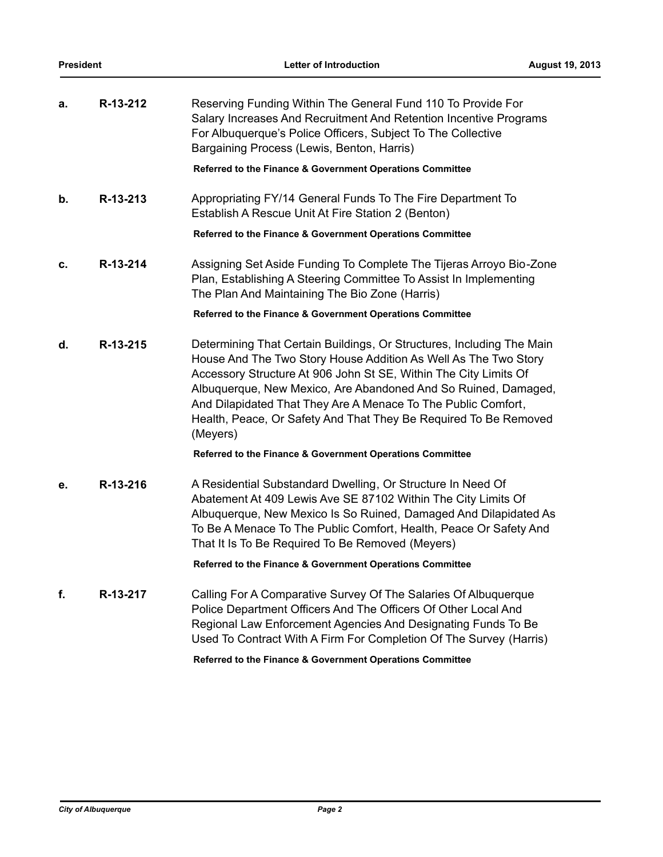| a. | R-13-212 | Reserving Funding Within The General Fund 110 To Provide For<br>Salary Increases And Recruitment And Retention Incentive Programs<br>For Albuquerque's Police Officers, Subject To The Collective<br>Bargaining Process (Lewis, Benton, Harris)                                                                                                                                                                                 |
|----|----------|---------------------------------------------------------------------------------------------------------------------------------------------------------------------------------------------------------------------------------------------------------------------------------------------------------------------------------------------------------------------------------------------------------------------------------|
|    |          | Referred to the Finance & Government Operations Committee                                                                                                                                                                                                                                                                                                                                                                       |
| b. | R-13-213 | Appropriating FY/14 General Funds To The Fire Department To<br>Establish A Rescue Unit At Fire Station 2 (Benton)                                                                                                                                                                                                                                                                                                               |
|    |          | Referred to the Finance & Government Operations Committee                                                                                                                                                                                                                                                                                                                                                                       |
| c. | R-13-214 | Assigning Set Aside Funding To Complete The Tijeras Arroyo Bio-Zone<br>Plan, Establishing A Steering Committee To Assist In Implementing<br>The Plan And Maintaining The Bio Zone (Harris)                                                                                                                                                                                                                                      |
|    |          | Referred to the Finance & Government Operations Committee                                                                                                                                                                                                                                                                                                                                                                       |
| d. | R-13-215 | Determining That Certain Buildings, Or Structures, Including The Main<br>House And The Two Story House Addition As Well As The Two Story<br>Accessory Structure At 906 John St SE, Within The City Limits Of<br>Albuquerque, New Mexico, Are Abandoned And So Ruined, Damaged,<br>And Dilapidated That They Are A Menace To The Public Comfort,<br>Health, Peace, Or Safety And That They Be Required To Be Removed<br>(Meyers) |
|    |          | Referred to the Finance & Government Operations Committee                                                                                                                                                                                                                                                                                                                                                                       |
| е. | R-13-216 | A Residential Substandard Dwelling, Or Structure In Need Of<br>Abatement At 409 Lewis Ave SE 87102 Within The City Limits Of<br>Albuquerque, New Mexico Is So Ruined, Damaged And Dilapidated As<br>To Be A Menace To The Public Comfort, Health, Peace Or Safety And<br>That It Is To Be Required To Be Removed (Meyers)                                                                                                       |
|    |          | Referred to the Finance & Government Operations Committee                                                                                                                                                                                                                                                                                                                                                                       |
| f. | R-13-217 | Calling For A Comparative Survey Of The Salaries Of Albuquerque<br>Police Department Officers And The Officers Of Other Local And<br>Regional Law Enforcement Agencies And Designating Funds To Be<br>Used To Contract With A Firm For Completion Of The Survey (Harris)                                                                                                                                                        |

**Referred to the Finance & Government Operations Committee**